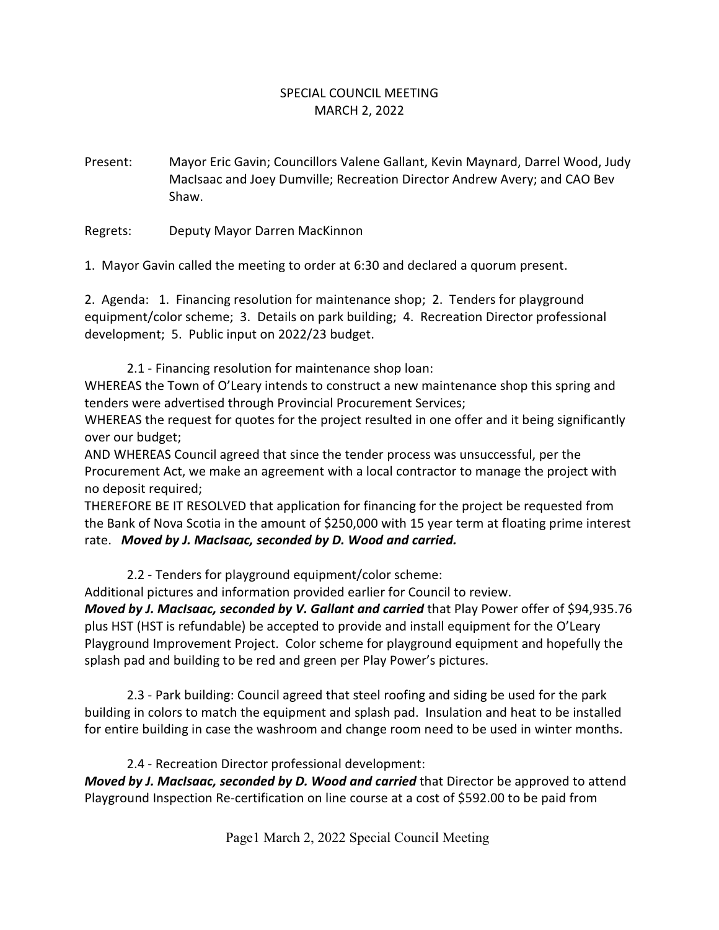## SPECIAL COUNCIL MEETING MARCH 2, 2022

Present: Mayor Eric Gavin; Councillors Valene Gallant, Kevin Maynard, Darrel Wood, Judy MacIsaac and Joey Dumville; Recreation Director Andrew Avery; and CAO Bev Shaw.

Regrets: Deputy Mayor Darren MacKinnon

1. Mayor Gavin called the meeting to order at 6:30 and declared a quorum present.

2. Agenda: 1. Financing resolution for maintenance shop; 2. Tenders for playground equipment/color scheme; 3. Details on park building; 4. Recreation Director professional development; 5. Public input on 2022/23 budget.

2.1 - Financing resolution for maintenance shop loan:

WHEREAS the Town of O'Leary intends to construct a new maintenance shop this spring and tenders were advertised through Provincial Procurement Services;

WHEREAS the request for quotes for the project resulted in one offer and it being significantly over our budget;

AND WHEREAS Council agreed that since the tender process was unsuccessful, per the Procurement Act, we make an agreement with a local contractor to manage the project with no deposit required;

THEREFORE BE IT RESOLVED that application for financing for the project be requested from the Bank of Nova Scotia in the amount of \$250,000 with 15 year term at floating prime interest rate. *Moved by J. MacIsaac, seconded by D. Wood and carried.*

## 2.2 - Tenders for playground equipment/color scheme:

Additional pictures and information provided earlier for Council to review.

*Moved by J. MacIsaac, seconded by V. Gallant and carried* that Play Power offer of \$94,935.76 plus HST (HST is refundable) be accepted to provide and install equipment for the O'Leary Playground Improvement Project. Color scheme for playground equipment and hopefully the splash pad and building to be red and green per Play Power's pictures.

2.3 - Park building: Council agreed that steel roofing and siding be used for the park building in colors to match the equipment and splash pad. Insulation and heat to be installed for entire building in case the washroom and change room need to be used in winter months.

2.4 - Recreation Director professional development:

*Moved by J. MacIsaac, seconded by D. Wood and carried* that Director be approved to attend Playground Inspection Re-certification on line course at a cost of \$592.00 to be paid from

Page1 March 2, 2022 Special Council Meeting